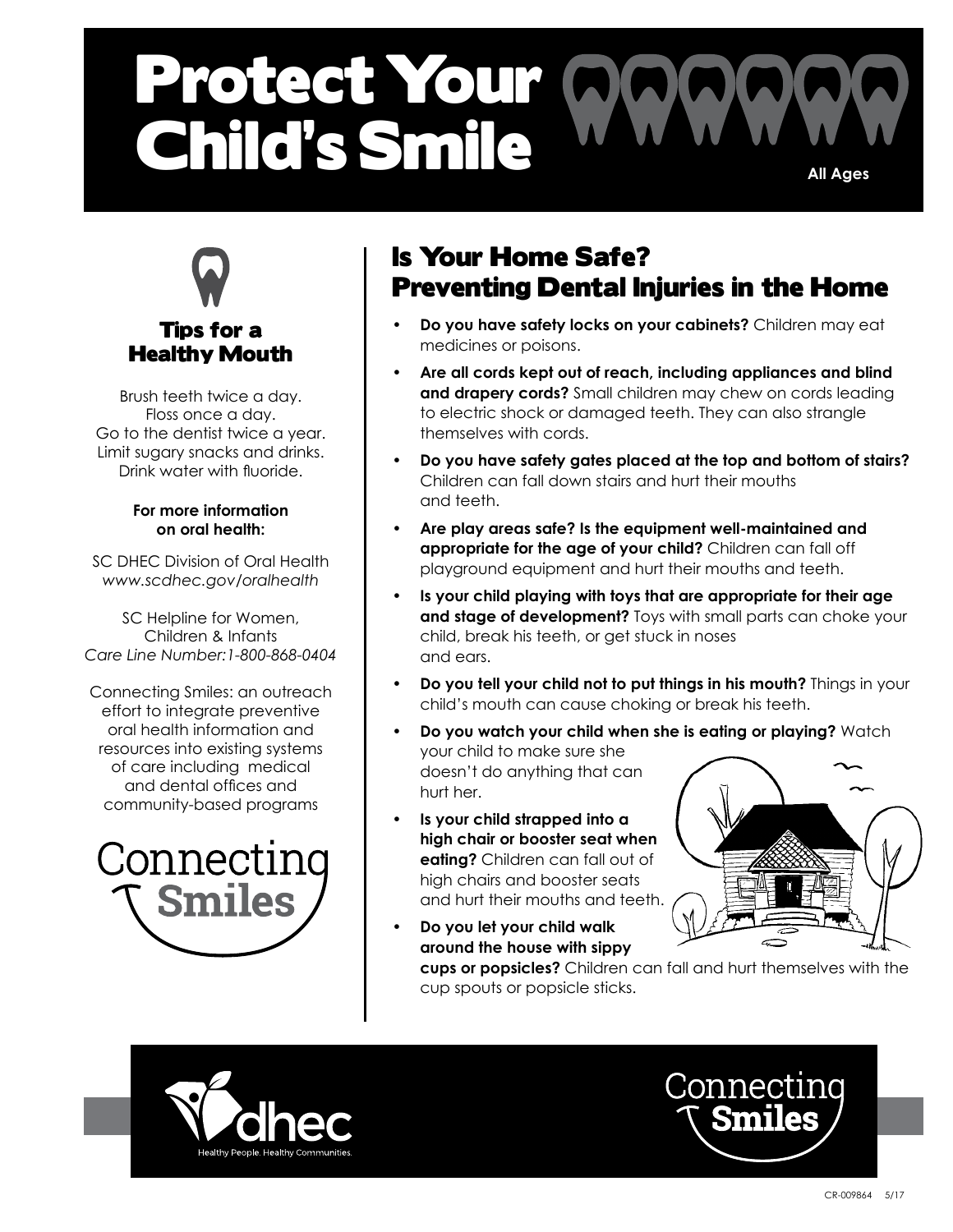# Protect Your A Child's Smile **All Ages**



## Tips for a Healthy Mouth

Brush teeth twice a day. Floss once a day. Go to the dentist twice a year. Limit sugary snacks and drinks. Drink water with fluoride.

#### **For more information on oral health:**

SC DHEC Division of Oral Health *www.scdhec.gov/oralhealth*

SC Helpline for Women, Children & Infants *Care Line Number:1-800-868-0404* 

Connecting Smiles: an outreach effort to integrate preventive oral health information and resources into existing systems of care including medical and dental offices and community-based programs



## Is Your Home Safe? Preventing Dental Injuries in the Home

- **• Do you have safety locks on your cabinets?** Children may eat medicines or poisons.
- **• Are all cords kept out of reach, including appliances and blind and drapery cords?** Small children may chew on cords leading to electric shock or damaged teeth. They can also strangle themselves with cords.
- **• Do you have safety gates placed at the top and bottom of stairs?** Children can fall down stairs and hurt their mouths and teeth.
- **• Are play areas safe? Is the equipment well-maintained and appropriate for the age of your child?** Children can fall off playground equipment and hurt their mouths and teeth.
- **• Is your child playing with toys that are appropriate for their age and stage of development?** Toys with small parts can choke your child, break his teeth, or get stuck in noses and ears.
- **• Do you tell your child not to put things in his mouth?** Things in your child's mouth can cause choking or break his teeth.
- **• Do you watch your child when she is eating or playing?** Watch your child to make sure she doesn't do anything that can hurt her.
- **• Is your child strapped into a high chair or booster seat when eating?** Children can fall out of high chairs and booster seats and hurt their mouths and teeth.



**• Do you let your child walk around the house with sippy cups or popsicles?** Children can fall and hurt themselves with the cup spouts or popsicle sticks.



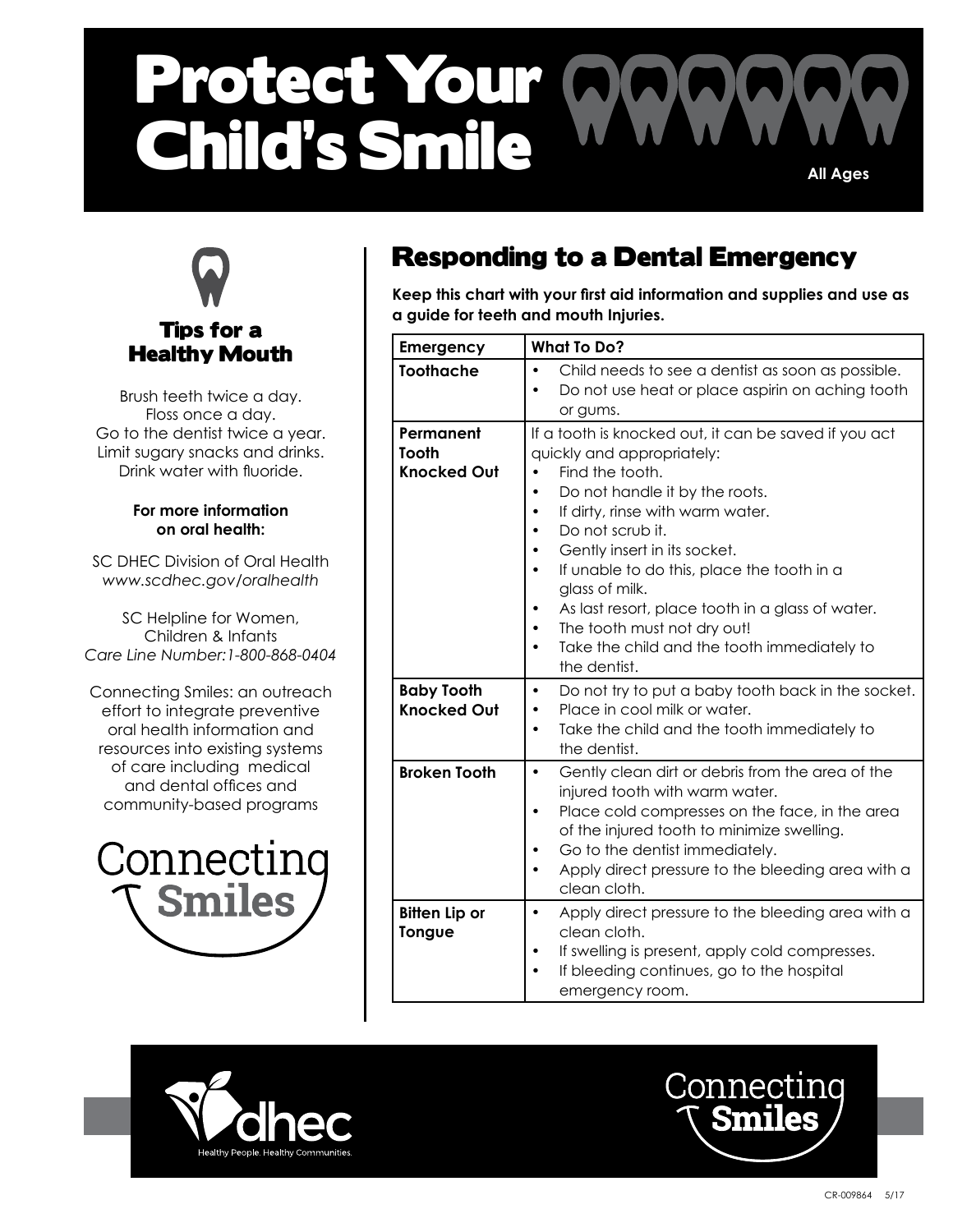# Protect Your Child's Smile **All Ages**



## Tips for a Healthy Mouth

Brush teeth twice a day. Floss once a day. Go to the dentist twice a year. Limit sugary snacks and drinks. Drink water with fluoride.

#### **For more information on oral health:**

SC DHEC Division of Oral Health *www.scdhec.gov/oralhealth*

SC Helpline for Women, Children & Infants *Care Line Number:1-800-868-0404* 

Connecting Smiles: an outreach effort to integrate preventive oral health information and resources into existing systems of care including medical and dental offices and community-based programs



## Responding to a Dental Emergency

**Keep this chart with your first aid information and supplies and use as a guide for teeth and mouth Injuries.**

| Emergency                                       | <b>What To Do?</b>                                                                                                                                                                                                                                                                                                                                                                                                                                              |  |  |
|-------------------------------------------------|-----------------------------------------------------------------------------------------------------------------------------------------------------------------------------------------------------------------------------------------------------------------------------------------------------------------------------------------------------------------------------------------------------------------------------------------------------------------|--|--|
| <b>Toothache</b>                                | Child needs to see a dentist as soon as possible.<br>$\bullet$<br>Do not use heat or place aspirin on aching tooth<br>or gums.                                                                                                                                                                                                                                                                                                                                  |  |  |
| Permanent<br><b>Tooth</b><br><b>Knocked Out</b> | If a tooth is knocked out, it can be saved if you act<br>quickly and appropriately:<br>Find the tooth.<br>Do not handle it by the roots.<br>$\bullet$<br>If dirty, rinse with warm water.<br>Do not scrub it.<br>Gently insert in its socket.<br>If unable to do this, place the tooth in a<br>glass of milk.<br>As last resort, place tooth in a glass of water.<br>The tooth must not dry out!<br>Take the child and the tooth immediately to<br>the dentist. |  |  |
| <b>Baby Tooth</b><br><b>Knocked Out</b>         | Do not try to put a baby tooth back in the socket.<br>$\bullet$<br>Place in cool milk or water.<br>Take the child and the tooth immediately to<br>$\bullet$<br>the dentist.                                                                                                                                                                                                                                                                                     |  |  |
| <b>Broken Tooth</b>                             | Gently clean dirt or debris from the area of the<br>$\bullet$<br>injured tooth with warm water.<br>Place cold compresses on the face, in the area<br>of the injured tooth to minimize swelling.<br>Go to the dentist immediately.<br>Apply direct pressure to the bleeding area with a<br>clean cloth.                                                                                                                                                          |  |  |
| <b>Bitten Lip or</b><br><b>Tongue</b>           | Apply direct pressure to the bleeding area with a<br>$\bullet$<br>clean cloth.<br>If swelling is present, apply cold compresses.<br>٠<br>If bleeding continues, go to the hospital<br>emergency room.                                                                                                                                                                                                                                                           |  |  |